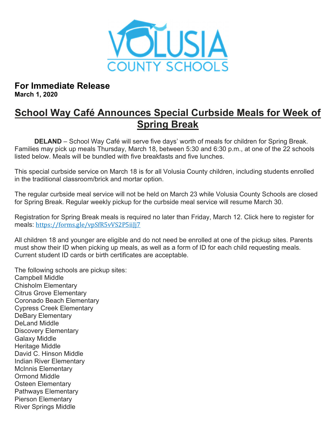

For Immediate Release March 1, 2020

## School Way Café Announces Special Curbside Meals for Week of Spring Break

DELAND – School Way Café will serve five days' worth of meals for children for Spring Break. Families may pick up meals Thursday, March 18, between 5:30 and 6:30 p.m., at one of the 22 schools listed below. Meals will be bundled with five breakfasts and five lunches.

This special curbside service on March 18 is for all Volusia County children, including students enrolled in the traditional classroom/brick and mortar option.

The regular curbside meal service will not be held on March 23 while Volusia County Schools are closed for Spring Break. Regular weekly pickup for the curbside meal service will resume March 30.

Registration for Spring Break meals is required no later than Friday, March 12. Click here to register for meals: https://forms.gle/vpSfR5vVS2P5iiJj7

All children 18 and younger are eligible and do not need be enrolled at one of the pickup sites. Parents must show their ID when picking up meals, as well as a form of ID for each child requesting meals. Current student ID cards or birth certificates are acceptable.

The following schools are pickup sites: Campbell Middle Chisholm Elementary Citrus Grove Elementary Coronado Beach Elementary Cypress Creek Elementary DeBary Elementary DeLand Middle Discovery Elementary Galaxy Middle Heritage Middle David C. Hinson Middle Indian River Elementary McInnis Elementary Ormond Middle Osteen Elementary Pathways Elementary Pierson Elementary River Springs Middle